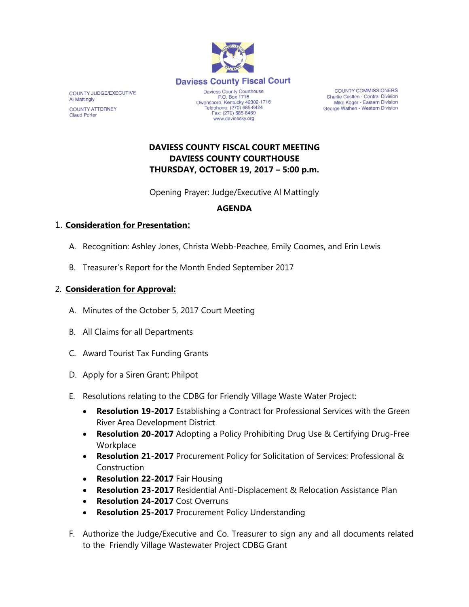

**COUNTY COMMISSIONERS** Charlie Castlen - Central Division Mike Koger - Eastern Division George Wathen - Western Division

# **DAVIESS COUNTY FISCAL COURT MEETING DAVIESS COUNTY COURTHOUSE THURSDAY, OCTOBER 19, 2017 – 5:00 p.m.**

Opening Prayer: Judge/Executive Al Mattingly

# **AGENDA**

### 1. **Consideration for Presentation:**

- A. Recognition: Ashley Jones, Christa Webb-Peachee, Emily Coomes, and Erin Lewis
- B. Treasurer's Report for the Month Ended September 2017

### 2. **Consideration for Approval:**

- A. Minutes of the October 5, 2017 Court Meeting
- B. All Claims for all Departments
- C. Award Tourist Tax Funding Grants
- D. Apply for a Siren Grant; Philpot
- E. Resolutions relating to the CDBG for Friendly Village Waste Water Project:
	- **Resolution 19-2017** Establishing a Contract for Professional Services with the Green River Area Development District
	- **Resolution 20-2017** Adopting a Policy Prohibiting Drug Use & Certifying Drug-Free **Workplace**
	- **Resolution 21-2017** Procurement Policy for Solicitation of Services: Professional & Construction
	- **Resolution 22-2017** Fair Housing
	- **Resolution 23-2017** Residential Anti-Displacement & Relocation Assistance Plan
	- **Resolution 24-2017** Cost Overruns
	- **Resolution 25-2017** Procurement Policy Understanding
- F. Authorize the Judge/Executive and Co. Treasurer to sign any and all documents related to the Friendly Village Wastewater Project CDBG Grant

COUNTY JUDGE/EXECUTIVE **Al Mattingly COUNTY ATTORNEY Claud Porter**